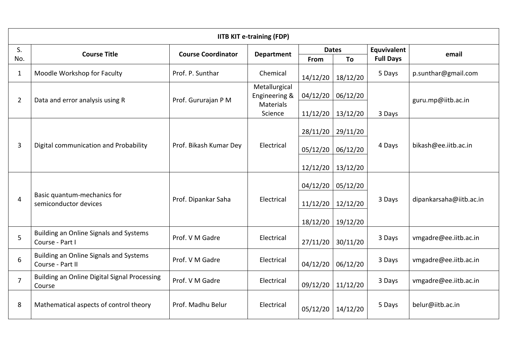| <b>IITB KIT e-training (FDP)</b> |                                                            |                           |                                                    |                   |          |                  |                         |  |  |  |  |
|----------------------------------|------------------------------------------------------------|---------------------------|----------------------------------------------------|-------------------|----------|------------------|-------------------------|--|--|--|--|
| S.<br>No.                        | <b>Course Title</b>                                        | <b>Course Coordinator</b> | <b>Department</b>                                  | <b>Dates</b>      |          | Equvivalent      | email                   |  |  |  |  |
|                                  |                                                            |                           |                                                    | From              | To       | <b>Full Days</b> |                         |  |  |  |  |
| $\mathbf{1}$                     | Moodle Workshop for Faculty                                | Prof. P. Sunthar          | Chemical                                           | 14/12/20          | 18/12/20 | 5 Days           | p.sunthar@gmail.com     |  |  |  |  |
| $\overline{2}$                   | Data and error analysis using R                            | Prof. Gururajan PM        | Metallurgical<br>Engineering &<br><b>Materials</b> | 04/12/20          | 06/12/20 |                  | guru.mp@iitb.ac.in      |  |  |  |  |
|                                  |                                                            |                           | Science                                            | 11/12/20          | 13/12/20 | 3 Days           |                         |  |  |  |  |
| $\overline{3}$                   | Digital communication and Probability                      | Prof. Bikash Kumar Dey    | Electrical                                         | 28/11/20          | 29/11/20 | 4 Days           | bikash@ee.iitb.ac.in    |  |  |  |  |
|                                  |                                                            |                           |                                                    | 05/12/20          | 06/12/20 |                  |                         |  |  |  |  |
|                                  |                                                            |                           |                                                    | 12/12/20          | 13/12/20 |                  |                         |  |  |  |  |
| 4                                | Basic quantum-mechanics for<br>semiconductor devices       | Prof. Dipankar Saha       | Electrical                                         | 04/12/20          | 05/12/20 | 3 Days           | dipankarsaha@iitb.ac.in |  |  |  |  |
|                                  |                                                            |                           |                                                    | 11/12/20 12/12/20 |          |                  |                         |  |  |  |  |
|                                  |                                                            |                           |                                                    | 18/12/20          | 19/12/20 |                  |                         |  |  |  |  |
| 5                                | Building an Online Signals and Systems<br>Course - Part I  | Prof. V M Gadre           | Electrical                                         | 27/11/20          | 30/11/20 | 3 Days           | vmgadre@ee.iitb.ac.in   |  |  |  |  |
| 6                                | Building an Online Signals and Systems<br>Course - Part II | Prof. V M Gadre           | Electrical                                         | 04/12/20          | 06/12/20 | 3 Days           | vmgadre@ee.iitb.ac.in   |  |  |  |  |
| $\overline{7}$                   | Building an Online Digital Signal Processing<br>Course     | Prof. V M Gadre           | Electrical                                         | 09/12/20          | 11/12/20 | 3 Days           | vmgadre@ee.iitb.ac.in   |  |  |  |  |
| 8                                | Mathematical aspects of control theory                     | Prof. Madhu Belur         | Electrical                                         | 05/12/20          | 14/12/20 | 5 Days           | belur@iitb.ac.in        |  |  |  |  |